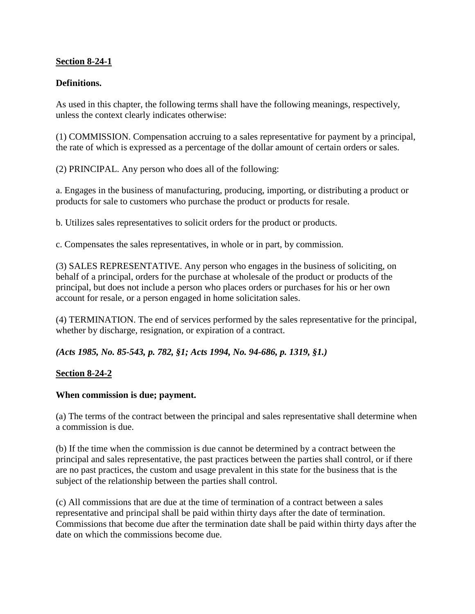## **Section 8-24-1**

# **Definitions.**

As used in this chapter, the following terms shall have the following meanings, respectively, unless the context clearly indicates otherwise:

(1) COMMISSION. Compensation accruing to a sales representative for payment by a principal, the rate of which is expressed as a percentage of the dollar amount of certain orders or sales.

(2) PRINCIPAL. Any person who does all of the following:

a. Engages in the business of manufacturing, producing, importing, or distributing a product or products for sale to customers who purchase the product or products for resale.

b. Utilizes sales representatives to solicit orders for the product or products.

c. Compensates the sales representatives, in whole or in part, by commission.

(3) SALES REPRESENTATIVE. Any person who engages in the business of soliciting, on behalf of a principal, orders for the purchase at wholesale of the product or products of the principal, but does not include a person who places orders or purchases for his or her own account for resale, or a person engaged in home solicitation sales.

(4) TERMINATION. The end of services performed by the sales representative for the principal, whether by discharge, resignation, or expiration of a contract.

*(Acts 1985, No. 85-543, p. 782, §1; Acts 1994, No. 94-686, p. 1319, §1.)*

## **Section 8-24-2**

## **When commission is due; payment.**

(a) The terms of the contract between the principal and sales representative shall determine when a commission is due.

(b) If the time when the commission is due cannot be determined by a contract between the principal and sales representative, the past practices between the parties shall control, or if there are no past practices, the custom and usage prevalent in this state for the business that is the subject of the relationship between the parties shall control.

(c) All commissions that are due at the time of termination of a contract between a sales representative and principal shall be paid within thirty days after the date of termination. Commissions that become due after the termination date shall be paid within thirty days after the date on which the commissions become due.